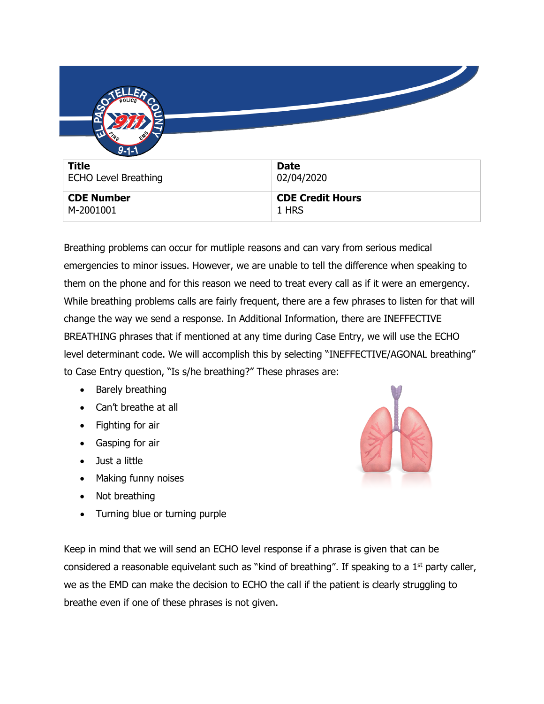| $9 - 1 - 1$                 |                         |
|-----------------------------|-------------------------|
| <b>Title</b>                | <b>Date</b>             |
| <b>ECHO Level Breathing</b> | 02/04/2020              |
| <b>CDE Number</b>           | <b>CDE Credit Hours</b> |
| M-2001001                   | 1 HRS                   |

Breathing problems can occur for mutliple reasons and can vary from serious medical emergencies to minor issues. However, we are unable to tell the difference when speaking to them on the phone and for this reason we need to treat every call as if it were an emergency. While breathing problems calls are fairly frequent, there are a few phrases to listen for that will change the way we send a response. In Additional Information, there are INEFFECTIVE BREATHING phrases that if mentioned at any time during Case Entry, we will use the ECHO level determinant code. We will accomplish this by selecting "INEFFECTIVE/AGONAL breathing" to Case Entry question, "Is s/he breathing?" These phrases are:

- Barely breathing
- Can't breathe at all
- Fighting for air
- Gasping for air
- Just a little
- Making funny noises
- Not breathing
- Turning blue or turning purple

Keep in mind that we will send an ECHO level response if a phrase is given that can be considered a reasonable equivelant such as "kind of breathing". If speaking to a  $1<sup>st</sup>$  party caller, we as the EMD can make the decision to ECHO the call if the patient is clearly struggling to breathe even if one of these phrases is not given.

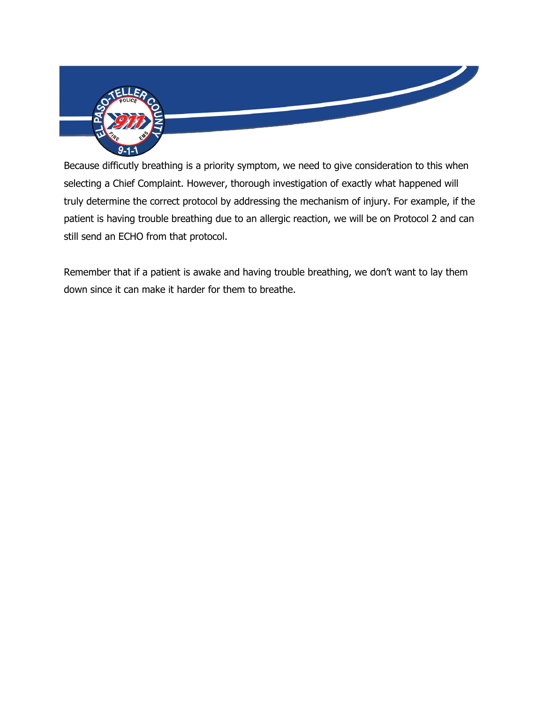

Because difficutly breathing is a priority symptom, we need to give consideration to this when selecting a Chief Complaint. However, thorough investigation of exactly what happened will truly determine the correct protocol by addressing the mechanism of injury. For example, if the patient is having trouble breathing due to an allergic reaction, we will be on Protocol 2 and can still send an ECHO from that protocol.

Remember that if a patient is awake and having trouble breathing, we don't want to lay them down since it can make it harder for them to breathe.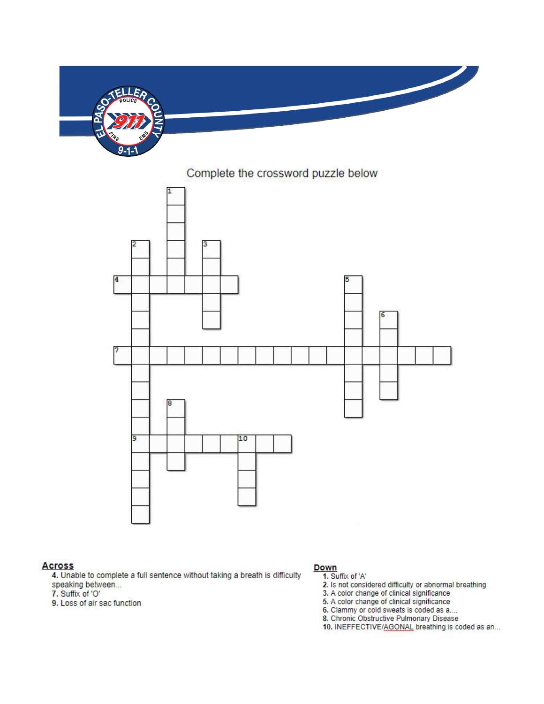

## Complete the crossword puzzle below



## **Across**

4. Unable to complete a full sentence without taking a breath is difficulty speaking between...

- 7. Suffix of 'O'
- 9. Loss of air sac function

## Down

- 1. Suffix of 'A'
- 2. Is not considered difficulty or abnormal breathing<br>3. A color change of clinical significance
- 
- 5. A color change of clinical significance
- 6. Clammy or cold sweats is coded as a....
- 8. Chronic Obstructive Pulmonary Disease
- 10. INEFFECTIVE/AGONAL breathing is coded as an...